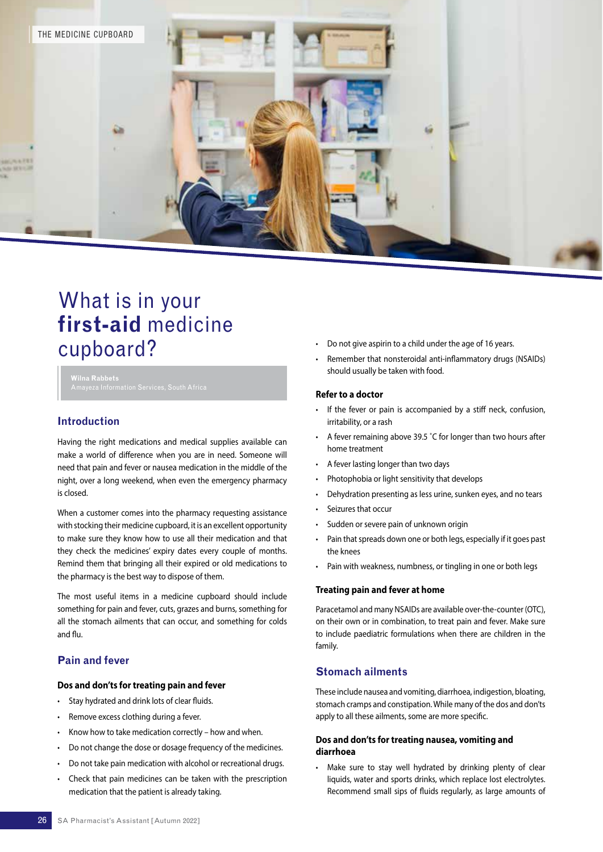

# What is in your **first-aid** medicine cupboard?

**Wilna Rabbets**

# **Introduction**

Having the right medications and medical supplies available can make a world of difference when you are in need. Someone will need that pain and fever or nausea medication in the middle of the night, over a long weekend, when even the emergency pharmacy is closed.

When a customer comes into the pharmacy requesting assistance with stocking their medicine cupboard, it is an excellent opportunity to make sure they know how to use all their medication and that they check the medicines' expiry dates every couple of months. Remind them that bringing all their expired or old medications to the pharmacy is the best way to dispose of them.

The most useful items in a medicine cupboard should include something for pain and fever, cuts, grazes and burns, something for all the stomach ailments that can occur, and something for colds and flu.

# **Pain and fever**

## **Dos and don'ts for treating pain and fever**

- Stay hydrated and drink lots of clear fluids.
- Remove excess clothing during a fever.
- Know how to take medication correctly how and when.
- Do not change the dose or dosage frequency of the medicines.
- Do not take pain medication with alcohol or recreational drugs.
- Check that pain medicines can be taken with the prescription medication that the patient is already taking.
- Do not give aspirin to a child under the age of 16 years.
- Remember that nonsteroidal anti-inflammatory drugs (NSAIDs) should usually be taken with food.

#### **Refer to a doctor**

- If the fever or pain is accompanied by a stiff neck, confusion, irritability, or a rash
- A fever remaining above 39.5 ˚C for longer than two hours after home treatment
- A fever lasting longer than two days
- Photophobia or light sensitivity that develops
- Dehydration presenting as less urine, sunken eyes, and no tears
- Seizures that occur
- Sudden or severe pain of unknown origin
- Pain that spreads down one or both legs, especially if it goes past the knees
- Pain with weakness, numbness, or tingling in one or both legs

#### **Treating pain and fever at home**

Paracetamol and many NSAIDs are available over-the-counter (OTC), on their own or in combination, to treat pain and fever. Make sure to include paediatric formulations when there are children in the family.

# **Stomach ailments**

These include nausea and vomiting, diarrhoea, indigestion, bloating, stomach cramps and constipation. While many of the dos and don'ts apply to all these ailments, some are more specific.

## **Dos and don'ts for treating nausea, vomiting and diarrhoea**

• Make sure to stay well hydrated by drinking plenty of clear liquids, water and sports drinks, which replace lost electrolytes. Recommend small sips of fluids regularly, as large amounts of